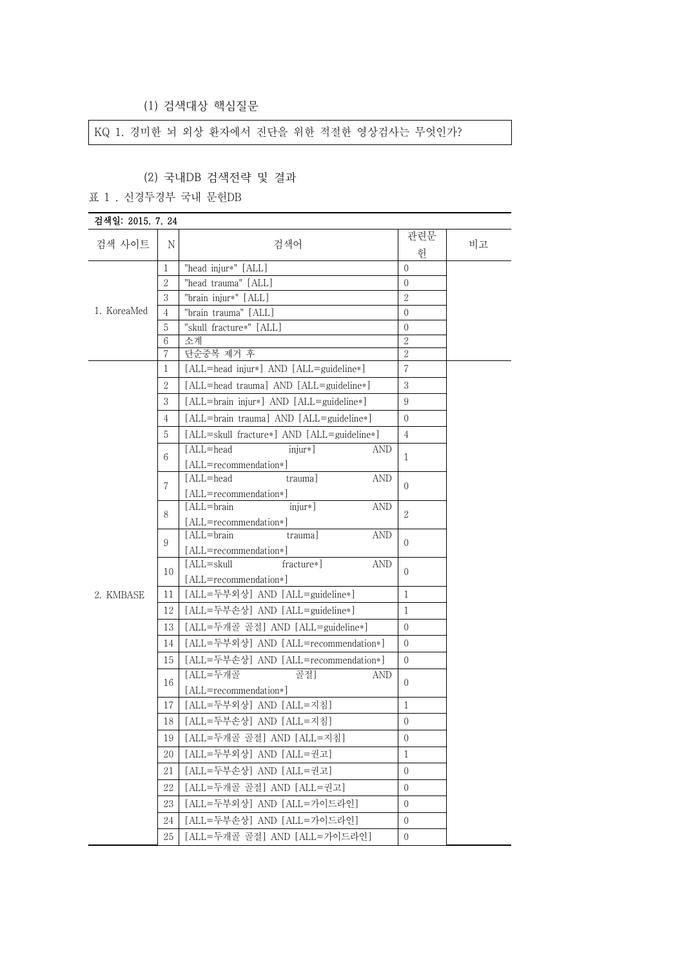(1) 검색대상 핵심질문

KQ 1. 경미한 뇌 외상 환자에서 진단을 위한 적절한 영상검사는 무엇인가?

## (2) 국내DB 검색전략 및 결과

#### 표 1 . 신경두경부 국내 문헌DB

| 검색일: 2015. 7. 24 |                |                                                     |                |    |
|------------------|----------------|-----------------------------------------------------|----------------|----|
| 검색 사이트           | N              | 검색어                                                 | 관련문<br>헌       | 비고 |
|                  | 1              | "head injur*" [ALL]                                 | $\Omega$       |    |
|                  | $\mathbf{2}$   | "head trauma" [ALL]                                 | $\Omega$       |    |
|                  | $\sqrt{3}$     | "brain injur*" [ALL]                                | $\overline{2}$ |    |
| 1. KoreaMed      | $\overline{4}$ | "brain trauma" [ALL]                                | $\theta$       |    |
|                  | 5              | "skull fracture*" [ALL]                             | $\Omega$       |    |
|                  | 6              | 소계                                                  | $\sqrt{2}$     |    |
|                  | 7              | 단순중복 제거 후                                           | $\overline{2}$ |    |
|                  | 1              | [ALL=head injur*] AND [ALL=guideline*]              | 7              |    |
|                  | $\mathbf{2}$   | [ALL=head trauma] AND [ALL=guideline*]              | 3              |    |
|                  | 3              | [ALL=brain injur*] AND [ALL=guideline*]             | 9              |    |
|                  | $\overline{4}$ | [ALL=brain trauma] AND [ALL=guideline*]             | $\Omega$       |    |
|                  | 5              | [ALL=skull fracture*] AND [ALL=guideline*]          | $\overline{4}$ |    |
|                  | 6              | [ALL=head<br>$\text{injur*}$<br>AND                 | 1              |    |
|                  |                | [ALL=recommendation*]                               |                |    |
|                  | 7              | [ALL=head<br>AND<br>trauma<br>[ALL=recommendation*] | $\Omega$       |    |
|                  |                | [ALL=brain]<br>$\text{injurr}$<br><b>AND</b>        |                |    |
|                  | 8              | [ALL=recommendation*]                               | $\mathfrak{2}$ |    |
|                  | 9              | [ALL=brain]<br>trauma]<br><b>AND</b>                | $\Omega$       |    |
|                  |                | [ALL=recommendation*]                               |                |    |
|                  | 10             | $[ALL = skull]$<br>fracture*]<br><b>AND</b>         | $\Omega$       |    |
|                  |                | [ALL=recommendation*]                               |                |    |
| 2. KMBASE        | 11             | [ALL=두부외상] AND [ALL=guideline*]                     | $\mathbf{1}$   |    |
|                  | 12             | [ALL=두부손상] AND [ALL=guideline*]                     | 1              |    |
|                  | 13             | [ALL=두개골 골절] AND [ALL=guideline*]                   | $\Omega$       |    |
|                  | 14             | [ALL=두부외상] AND [ALL=recommendation*]                | $\Omega$       |    |
|                  | 15             | [ALL=두부손상] AND [ALL=recommendation*]                | $\overline{0}$ |    |
|                  | 16             | [ALL=두개골<br>골절]<br>AND                              | $\Omega$       |    |
|                  |                | [ALL=recommendation*]                               |                |    |
|                  | 17             | [ALL=두부외상] AND [ALL=지침]                             | $\mathbf{1}$   |    |
|                  | 18             | [ALL=두부손상] AND [ALL=지침]                             | $\Omega$       |    |
|                  | 19             | [ALL=두개골 골절] AND [ALL=지침]                           | $\Omega$       |    |
|                  | 20             | [ALL=두부외상] AND [ALL=권고]                             | 1              |    |
|                  | 21             | [ALL=두부손상] AND [ALL=권고]                             | $\overline{0}$ |    |
|                  | 22             | [ALL=두개골 골절] AND [ALL=권고]                           | $\Omega$       |    |
|                  | 23             | [ALL=두부외상] AND [ALL=가이드라인]                          | $\Omega$       |    |
|                  | 24             | [ALL=두부손상] AND [ALL=가이드라인]                          | $\Omega$       |    |
|                  | 25             | [ALL=두개골 골절] AND [ALL=가이드라인]                        | $\Omega$       |    |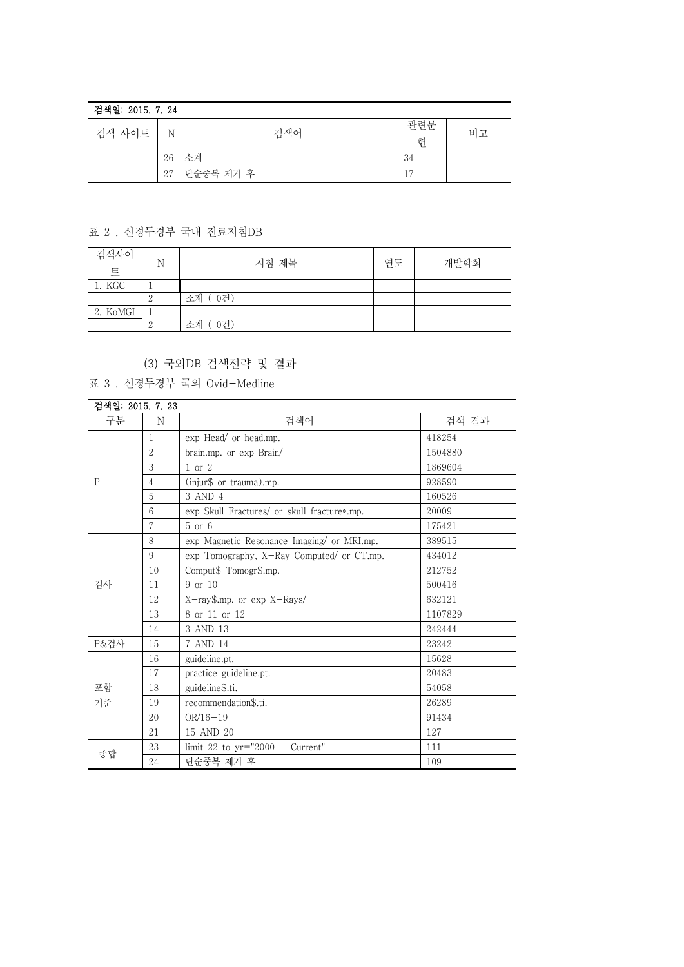### 검색일: 2015. 7. 24

| 검색 사이트 | N  | 검색어       | 관련문<br>허       | 비고 |
|--------|----|-----------|----------------|----|
|        | 26 | 소계        | 34             |    |
|        | 27 | 단순중복 제거 후 | $\overline{ }$ |    |

# 표 2 . 신경두경부 국내 진료지침DB

| 검색사이<br>트 | N | 지침 제목     | 연도 | 개발학회 |
|-----------|---|-----------|----|------|
| 1. KGC    |   |           |    |      |
|           |   | 소계 (0건)   |    |      |
| 2. KoMGI  |   |           |    |      |
|           |   | 0건)<br>소계 |    |      |

# (3) 국외DB 검색전략 및 결과

표 3 . 신경두경부 국외 Ovid-Medline

|          | 검색일: 2015, 7, 23 |                                             |         |  |
|----------|------------------|---------------------------------------------|---------|--|
| 구분       | N                | 검색어                                         | 검색 결과   |  |
|          | $\mathbf{1}$     | exp Head/ or head.mp.                       | 418254  |  |
|          | $\overline{2}$   | brain.mp. or exp Brain/                     | 1504880 |  |
|          | 3                | $1$ or $2$                                  | 1869604 |  |
| P        | $\overline{4}$   | (injur\$ or trauma).mp.                     | 928590  |  |
|          | 5                | 3 AND 4                                     | 160526  |  |
|          | $6\,$            | exp Skull Fractures/ or skull fracture*.mp. | 20009   |  |
|          | $\tau$           | $5$ or $6$                                  | 175421  |  |
|          | 8                | exp Magnetic Resonance Imaging/ or MRI.mp.  | 389515  |  |
|          | 9                | exp Tomography, X-Ray Computed/ or CT.mp.   | 434012  |  |
|          | 10               | Comput\$ Tomogr\$.mp.                       | 212752  |  |
| 검사       | 11               | 9 or 10                                     | 500416  |  |
|          | 12               | X-ray\$.mp. or exp X-Rays/                  | 632121  |  |
|          | 13               | 8 or 11 or 12                               | 1107829 |  |
|          | 14               | 3 AND 13                                    | 242444  |  |
| P&검사     | 15               | 7 AND 14                                    | 23242   |  |
| 포함<br>기준 | 16               | guideline.pt.                               | 15628   |  |
|          | 17               | practice guideline.pt.                      | 20483   |  |
|          | 18               | guideline\$.ti.                             | 54058   |  |
|          | 19               | recommendation\$.ti.                        | 26289   |  |
|          | 20               | $OR/16-19$                                  | 91434   |  |
|          | 21               | 15 AND 20                                   | 127     |  |
| 종합       | 23               | limit 22 to $yr="2000 - Current"$           | 111     |  |
|          | 24               | 단순중복 제거 후                                   | 109     |  |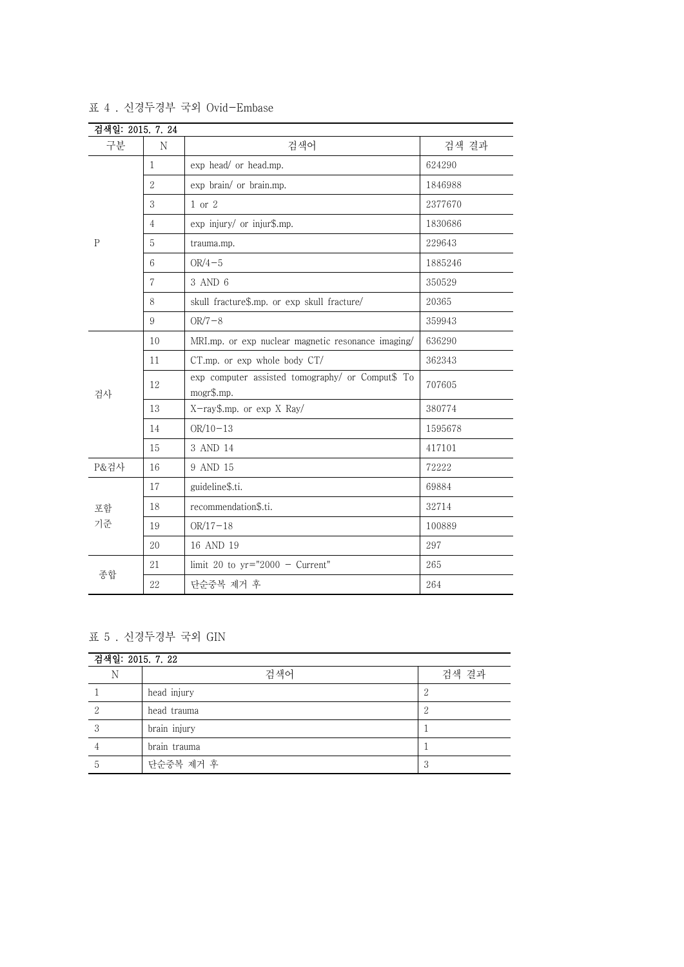| 검색일: 2015. 7. 24 |                 |                                                                |         |
|------------------|-----------------|----------------------------------------------------------------|---------|
| 구분               | N               | 검색어                                                            | 검색 결과   |
|                  | $\mathbf{1}$    | exp head/ or head.mp.                                          | 624290  |
|                  | $\overline{2}$  | exp brain/ or brain.mp.                                        | 1846988 |
|                  | 3               | $1$ or $2$                                                     | 2377670 |
|                  | $\overline{4}$  | exp injury/ or injur\$.mp.                                     | 1830686 |
| $\mathbf{P}$     | 5               | trauma.mp.                                                     | 229643  |
|                  | 6               | $OR/4-5$                                                       | 1885246 |
|                  | $\overline{7}$  | 3 AND 6                                                        | 350529  |
|                  | $\,8\,$         | skull fracture\$.mp. or exp skull fracture/                    | 20365   |
|                  | $9\phantom{.0}$ | $OR/7-8$                                                       | 359943  |
|                  | 10              | MRI.mp. or exp nuclear magnetic resonance imaging/             | 636290  |
|                  | 11              | CT.mp. or exp whole body CT/                                   | 362343  |
| 검사               | 12              | exp computer assisted tomography/ or Comput\$ To<br>mogr\$.mp. | 707605  |
|                  | 13              | X-ray\$.mp. or exp X Ray/                                      | 380774  |
|                  | 14              | $OR/10-13$                                                     | 1595678 |
|                  | 15              | 3 AND 14                                                       | 417101  |
| P&검사             | 16              | 9 AND 15                                                       | 72222   |
| 포함<br>기준         | 17              | guideline\$.ti.                                                | 69884   |
|                  | 18              | recommendation\$.ti.                                           | 32714   |
|                  | 19              | $OR/17-18$                                                     | 100889  |
|                  | 20              | 16 AND 19                                                      | 297     |
|                  | 21              | limit 20 to $yr="2000 - Current"$                              | 265     |
| 종합               | 22              | 단순중복 제거 후                                                      | 264     |

표 4 . 신경두경부 국외 Ovid-Embase

## 표 5 . 신경두경부 국외 GIN

| 검색일: 2015. 7. 22 |              |              |  |
|------------------|--------------|--------------|--|
| N                | 검색어          | 검색 결과        |  |
|                  | head injury  |              |  |
|                  | head trauma  | റ<br>↵       |  |
|                  | brain injury |              |  |
|                  | brain trauma |              |  |
| 5.               | 단순중복 제거 후    | 2<br>$\cdot$ |  |